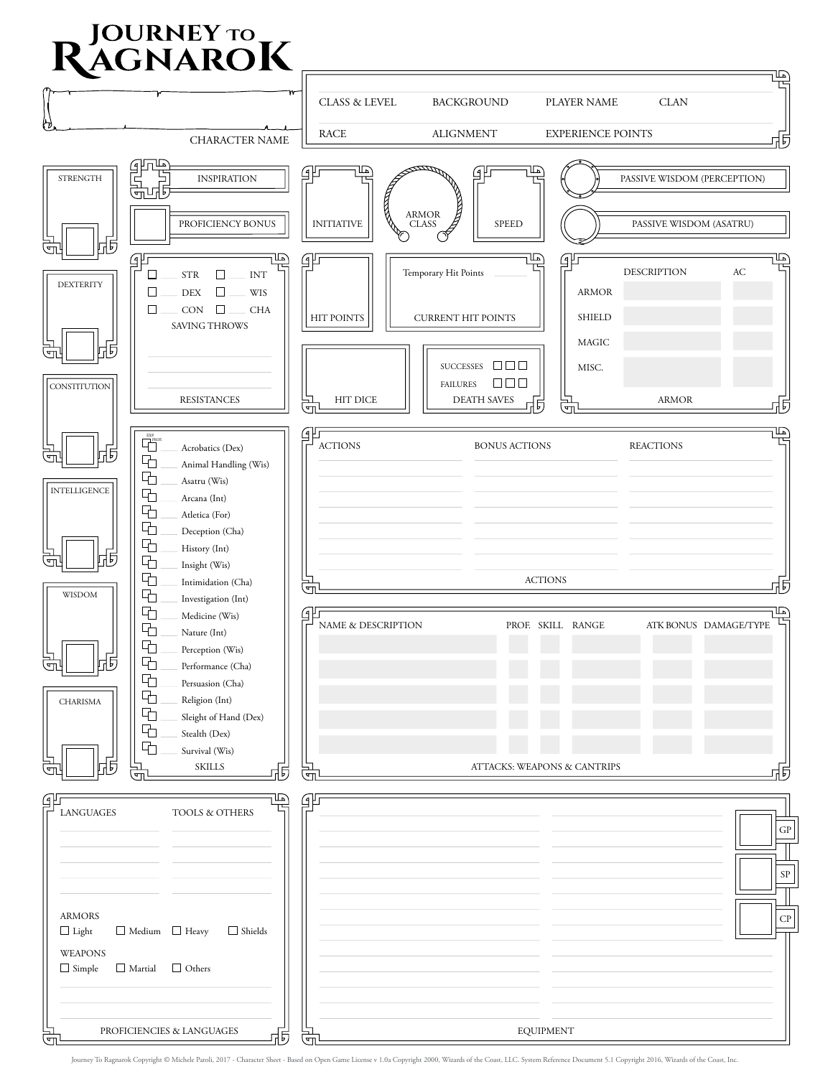## **RAGNAROK**

| TRUITHE                                                                                                                                                                                                                                        |                                   |                                                                 |                                      |                             | ℡                          |
|------------------------------------------------------------------------------------------------------------------------------------------------------------------------------------------------------------------------------------------------|-----------------------------------|-----------------------------------------------------------------|--------------------------------------|-----------------------------|----------------------------|
|                                                                                                                                                                                                                                                | CLASS & LEVEL                     | <b>BACKGROUND</b>                                               | PLAYER NAME                          | <b>CLAN</b>                 |                            |
| ₩<br>CHARACTER NAME                                                                                                                                                                                                                            | <b>RACE</b>                       | <b>ALIGNMENT</b>                                                | <b>EXPERIENCE POINTS</b>             |                             | 市                          |
| <b>STRENGTH</b><br><b>INSPIRATION</b><br>பாக<br>Ψù                                                                                                                                                                                             | ॒                                 | `مـللا<br>⊈و                                                    |                                      | PASSIVE WISDOM (PERCEPTION) |                            |
| PROFICIENCY BONUS<br>同<br>त्म                                                                                                                                                                                                                  | R<br><b>INITIATIVE</b>            | ARMOR<br>CLASS<br><b>SPEED</b>                                  |                                      | PASSIVE WISDOM (ASATRU)     |                            |
| 虾<br>⊡<br><b>STR</b><br>□<br><b>INT</b><br>□<br><b>DEXTERITY</b><br><b>WIS</b><br>□<br>□<br><b>DEX</b><br>$\Box$<br>CON<br><b>CHA</b><br>□<br><b>SAVING THROWS</b>                                                                             | Gμ<br><b>HIT POINTS</b>           | ╙<br>Temporary Hit Points<br><b>CURRENT HIT POINTS</b>          | ॒ٳڮ<br><b>ARMOR</b><br><b>SHIELD</b> | <b>DESCRIPTION</b>          | `⊾⊔<br>AC                  |
| 뉴<br>历                                                                                                                                                                                                                                         |                                   | SUCCESSES $\Box$ $\Box$ $\Box$                                  | <b>MAGIC</b><br>MISC.                |                             |                            |
| <b>CONSTITUTION</b><br><b>RESISTANCES</b>                                                                                                                                                                                                      | <b>HIT DICE</b><br>$\overline{a}$ | $\Box \Box \Box$<br><b>FAILURES</b><br><b>DEATH SAVES</b><br>너티 | Ţг                                   | <b>ARMOR</b>                | 历                          |
| $\overline{\mathbf{F}}_{\text{PROE}}^{\text{EXP.}}$<br>Acrobatics (Dex)<br>币<br>$\overline{5}$<br>呫<br>Animal Handling (Wis)<br>呫<br>Asatru (Wis)<br><b>INTELLIGENCE</b><br>呫<br>Arcana (Int)<br>呫<br>Atletica (For)<br>呫<br>Deception (Cha)   | ے<br>⊧<br><b>ACTIONS</b>          | <b>BONUS ACTIONS</b>                                            |                                      | <b>REACTIONS</b>            | ℡                          |
| 呫<br>History (Int)<br>Б<br>╬<br>呫<br>Insight (Wis)<br>呫<br>Intimidation (Cha)<br>呫<br>WISDOM<br>Investigation (Int)                                                                                                                            | ŢΡ,                               | <b>ACTIONS</b>                                                  |                                      |                             | 坈                          |
| 呫<br>Medicine (Wis)<br>呫<br>Nature (Int)<br>呫<br>Perception (Wis)<br>$\frac{\Box}{\Box}$<br>Б<br>呫<br>Performance (Cha)<br>呫<br>Persuasion (Cha)<br>呫<br>Religion (Int)<br><b>CHARISMA</b><br>呫<br>Sleight of Hand (Dex)<br>呫<br>Stealth (Dex) | G⊧<br>NAME & DESCRIPTION          |                                                                 | PROF. SKILL RANGE                    | ATK BONUS DAMAGE/TYPE       | ∐ລ                         |
| 呫<br>Survival (Wis)<br>त्म<br>历<br><b>SKILLS</b><br>Σm,                                                                                                                                                                                        | 同<br>$\overline{a}$               | ATTACKS: WEAPONS & CANTRIPS                                     |                                      |                             | 历                          |
| 玉<br>βľ<br><b>LANGUAGES</b><br>TOOLS & OTHERS                                                                                                                                                                                                  | 卵                                 |                                                                 |                                      |                             | ${\rm GP}$                 |
| <b>ARMORS</b><br>$\Box$ Medium $\Box$ Heavy<br>$\Box$ Light<br>$\Box$ Shields                                                                                                                                                                  |                                   |                                                                 |                                      |                             | $\mbox{SP}$<br>${\cal CP}$ |
| <b>WEAPONS</b><br>$\Box$ Others<br>$\Box$ Simple<br>$\Box$ Martial                                                                                                                                                                             |                                   |                                                                 |                                      |                             |                            |
| PROFICIENCIES & LANGUAGES<br>$\frac{\Box}{\Box}$                                                                                                                                                                                               | F,<br>्ण                          | <b>EQUIPMENT</b>                                                |                                      |                             |                            |

Journey To Ragnarok Copyright © Michele Paroli, 2017 - Character Sheet - Based on Open Game License v 1.0a Copyright 2000, Wizards of the Coast, LLC. System Reference Document 5.1 Copyright 2016, Wizards of the Coast, Inc.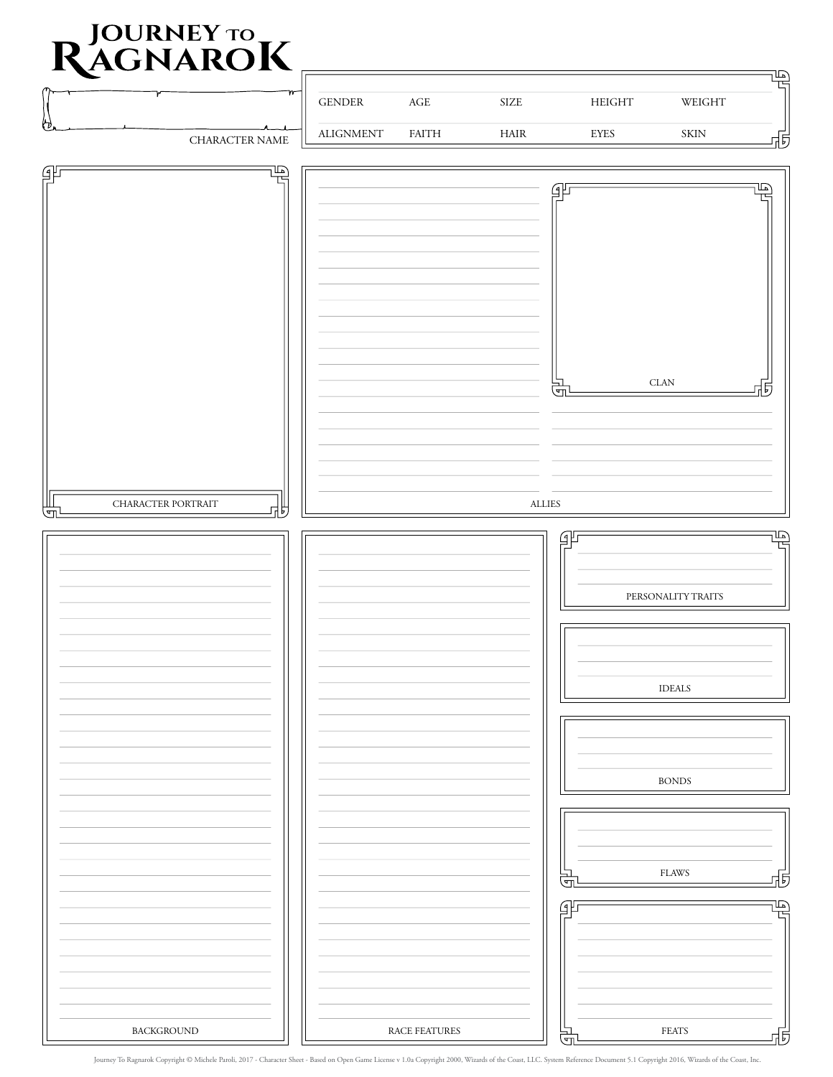## **D** JOURNEY TO **R** ACNIA DOK

| INAUNARUN                    |                                   |                               |                              |                            | ⊡<br>┲                |
|------------------------------|-----------------------------------|-------------------------------|------------------------------|----------------------------|-----------------------|
|                              | $\operatorname{GENDER}$           | $\mathbf{AGE}$                | $\ensuremath{\mathrm{SIZE}}$ | ${\rm HEIGHT}$             | $\,$ WEIGHT           |
| セ<br>CHARACTER NAME          | $\boldsymbol{\mathrm{ALIGNMENT}}$ | $\ensuremath{\mathsf{FAITH}}$ | $\rm HAIR$                   | <b>EYES</b>                | $\mbox{SKIN}$<br>亟    |
| $\mathbb{Z}$<br>gF           |                                   |                               |                              |                            |                       |
|                              |                                   |                               |                              | 邹                          | տ                     |
|                              |                                   |                               |                              |                            |                       |
|                              |                                   |                               |                              |                            |                       |
|                              |                                   |                               |                              |                            |                       |
|                              |                                   |                               |                              |                            |                       |
|                              |                                   |                               |                              |                            |                       |
|                              |                                   |                               |                              |                            |                       |
|                              |                                   |                               |                              | Œ,                         | $CLAN$<br>历           |
|                              |                                   |                               |                              |                            |                       |
|                              |                                   |                               |                              |                            |                       |
|                              |                                   |                               |                              |                            |                       |
| CHARACTER PORTRAIT<br>閁<br>너 |                                   |                               | $\mbox{ALLIES}$              |                            |                       |
|                              |                                   |                               |                              | $\mathcal{G}^{\mathbb{P}}$ | $\mathbb{E}$<br>┖     |
|                              |                                   |                               |                              |                            |                       |
|                              |                                   |                               |                              |                            | PERSONALITY TRAITS    |
|                              |                                   |                               |                              |                            |                       |
|                              |                                   |                               |                              |                            |                       |
|                              |                                   |                               |                              |                            | <b>IDEALS</b>         |
|                              |                                   |                               |                              |                            |                       |
|                              |                                   |                               |                              |                            |                       |
|                              |                                   |                               |                              |                            | $\rm BONDS$           |
|                              |                                   |                               |                              |                            |                       |
|                              |                                   |                               |                              |                            |                       |
|                              |                                   |                               |                              |                            |                       |
|                              |                                   |                               |                              | त्न                        | ${\rm FLAWS}$<br>品    |
|                              |                                   |                               |                              | 卲                          | 唔                     |
|                              |                                   |                               |                              |                            |                       |
|                              |                                   |                               |                              |                            |                       |
|                              |                                   |                               |                              |                            |                       |
| BACKGROUND                   |                                   | RACE FEATURES                 |                              | $\overline{\overline{G}}$  | $\texttt{FEATS}$<br>내 |

Journey To Ragnarok Copyright © Michele Paroli, 2017 - Character Sheet - Based on Open Game License v 1.0a Copyright 2000, Wizards of the Coast, LLC. System Reference Document 5.1 Copyright 2016, Wizards of the Coast, Inc.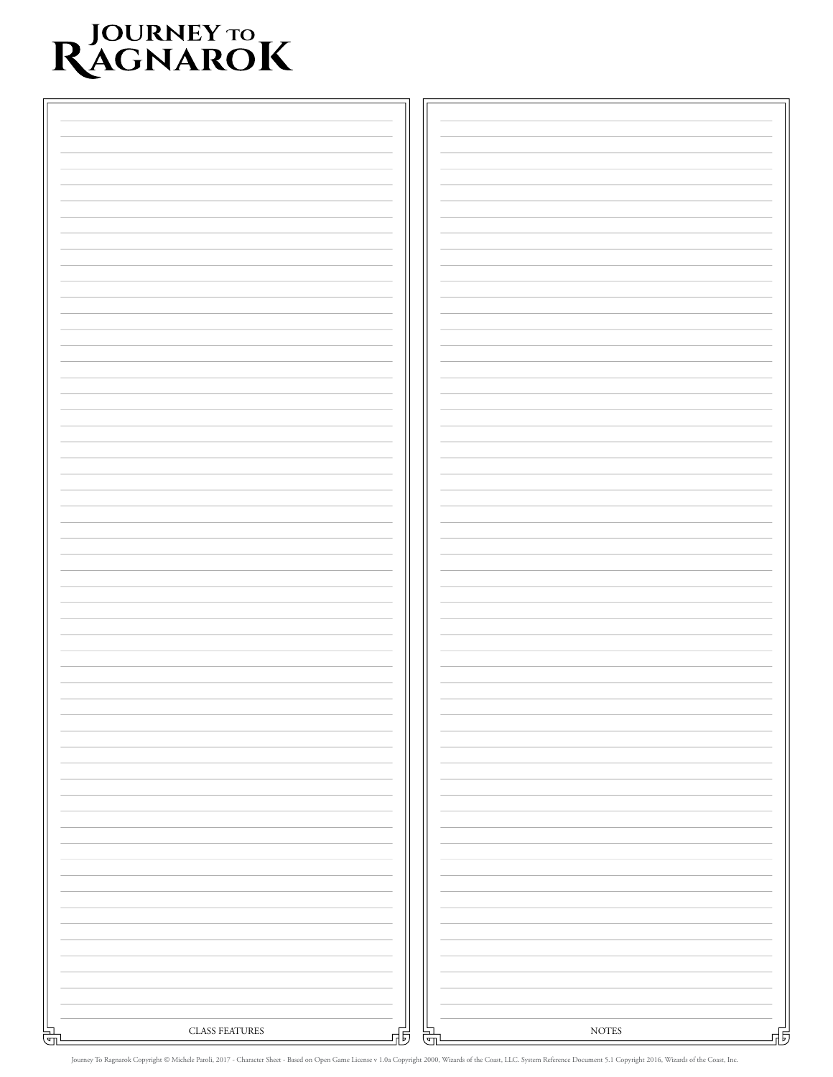## RJOURNEY TO RAGNAROK

| CLASS FEATURES<br>쓺 | Б | ( م | $\bold{NOTES}$ | 붜 |
|---------------------|---|-----|----------------|---|
|                     |   |     |                |   |

Journey To Ragnarok Copyright © Michele Paroli, 2017 - Character Sheet - Based on Open Game License v 1.0a Copyright 2000, Wizards of the Coast, LLC. System Reference Document 5.1 Copyright 2016, Wizards of the Coast, Inc.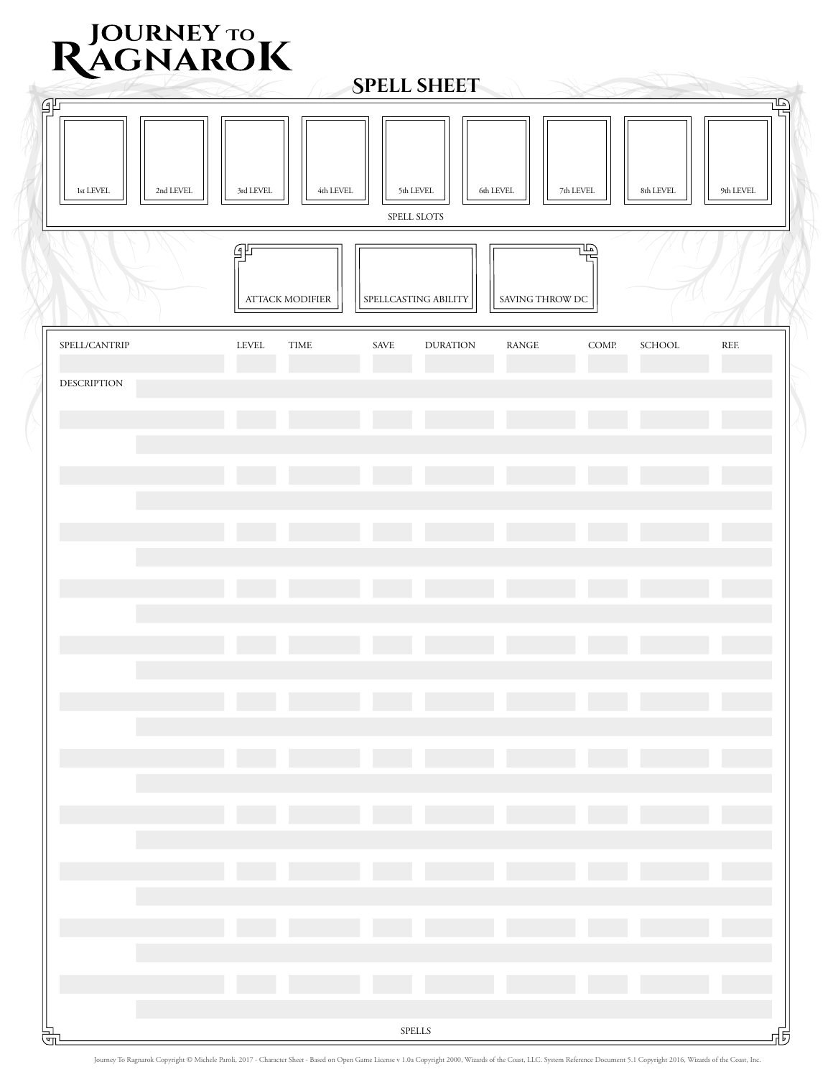| RJOURNEY TO RAGNAROK<br><b>SPELL SHEET</b>                                  |                             |                                       |                       |                                  |  |  |  |  |  |
|-----------------------------------------------------------------------------|-----------------------------|---------------------------------------|-----------------------|----------------------------------|--|--|--|--|--|
| 乎<br>1st LEVEL<br>2nd LEVEL                                                 | 3rd LEVEL<br>4th LEVEL      | 5th LEVEL<br>6th LEVEL<br>SPELL SLOTS | 7th LEVEL             | 티<br>℡<br>9th LEVEL<br>8th LEVEL |  |  |  |  |  |
| Ŀ<br>乎<br><b>ATTACK MODIFIER</b><br>SPELLCASTING ABILITY<br>SAVING THROW DC |                             |                                       |                       |                                  |  |  |  |  |  |
| SPELL/CANTRIP                                                               | <b>LEVEL</b><br><b>TIME</b> | SAVE<br><b>DURATION</b>               | COMP.<br><b>RANGE</b> | REF.<br>SCHOOL                   |  |  |  |  |  |
| <b>DESCRIPTION</b>                                                          |                             |                                       |                       |                                  |  |  |  |  |  |
|                                                                             |                             |                                       |                       |                                  |  |  |  |  |  |
|                                                                             |                             |                                       |                       |                                  |  |  |  |  |  |
|                                                                             |                             |                                       |                       |                                  |  |  |  |  |  |
|                                                                             |                             |                                       |                       |                                  |  |  |  |  |  |
|                                                                             |                             |                                       |                       |                                  |  |  |  |  |  |
|                                                                             |                             |                                       |                       |                                  |  |  |  |  |  |
|                                                                             |                             |                                       |                       |                                  |  |  |  |  |  |
|                                                                             |                             |                                       |                       |                                  |  |  |  |  |  |
|                                                                             |                             |                                       |                       |                                  |  |  |  |  |  |
|                                                                             |                             |                                       |                       |                                  |  |  |  |  |  |
|                                                                             |                             |                                       |                       |                                  |  |  |  |  |  |
|                                                                             |                             |                                       |                       |                                  |  |  |  |  |  |
| लैं                                                                         |                             | ${\rm SPELLS}$                        |                       | 낵                                |  |  |  |  |  |